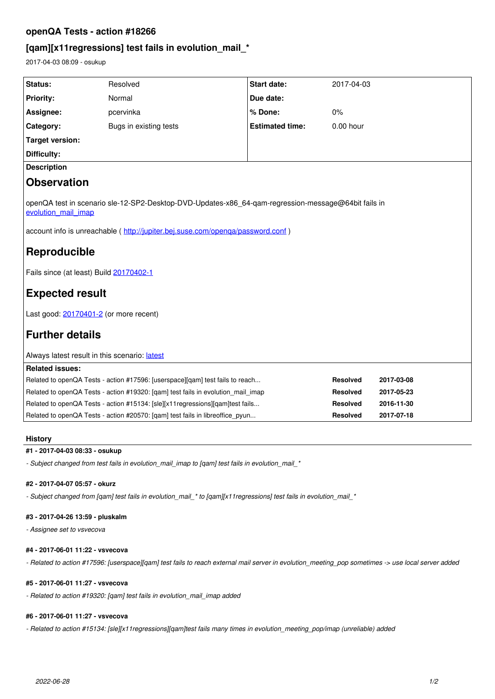# **openQA Tests - action #18266**

# **[qam][x11regressions] test fails in evolution\_mail\_\***

2017-04-03 08:09 - osukup

| Status:                                                                                                                    | Resolved                                                                         | <b>Start date:</b>     | 2017-04-03      |            |
|----------------------------------------------------------------------------------------------------------------------------|----------------------------------------------------------------------------------|------------------------|-----------------|------------|
| <b>Priority:</b>                                                                                                           | Normal                                                                           | Due date:              |                 |            |
| Assignee:                                                                                                                  | pcervinka                                                                        | % Done:                | 0%              |            |
| Category:                                                                                                                  | Bugs in existing tests                                                           | <b>Estimated time:</b> | 0.00 hour       |            |
| <b>Target version:</b>                                                                                                     |                                                                                  |                        |                 |            |
| Difficulty:                                                                                                                |                                                                                  |                        |                 |            |
| <b>Description</b>                                                                                                         |                                                                                  |                        |                 |            |
| <b>Observation</b>                                                                                                         |                                                                                  |                        |                 |            |
| openQA test in scenario sle-12-SP2-Desktop-DVD-Updates-x86 64-qam-regression-message@64bit fails in<br>evolution mail imap |                                                                                  |                        |                 |            |
| account info is unreachable (http://jupiter.bej.suse.com/openqa/password.conf)                                             |                                                                                  |                        |                 |            |
| Reproducible                                                                                                               |                                                                                  |                        |                 |            |
| Fails since (at least) Build 20170402-1                                                                                    |                                                                                  |                        |                 |            |
| <b>Expected result</b>                                                                                                     |                                                                                  |                        |                 |            |
| Last good: 20170401-2 (or more recent)                                                                                     |                                                                                  |                        |                 |            |
| <b>Further details</b>                                                                                                     |                                                                                  |                        |                 |            |
| Always latest result in this scenario: latest                                                                              |                                                                                  |                        |                 |            |
| <b>Related issues:</b>                                                                                                     |                                                                                  |                        |                 |            |
| Related to openQA Tests - action #17596: [userspace][qam] test fails to reach                                              |                                                                                  | <b>Resolved</b>        | 2017-03-08      |            |
|                                                                                                                            | Related to openQA Tests - action #19320: [qam] test fails in evolution_mail_imap |                        | <b>Resolved</b> | 2017-05-23 |
| Related to openQA Tests - action #15134: [sle][x11regressions][qam]test fails                                              |                                                                                  | Resolved               | 2016-11-30      |            |
|                                                                                                                            | Related to openQA Tests - action #20570: [qam] test fails in libreoffice_pyun    |                        | <b>Resolved</b> | 2017-07-18 |

# **History**

# **#1 - 2017-04-03 08:33 - osukup**

*- Subject changed from test fails in evolution\_mail\_imap to [qam] test fails in evolution\_mail\_\**

#### **#2 - 2017-04-07 05:57 - okurz**

*- Subject changed from [qam] test fails in evolution\_mail\_\* to [qam][x11regressions] test fails in evolution\_mail\_\**

#### **#3 - 2017-04-26 13:59 - pluskalm**

*- Assignee set to vsvecova*

## **#4 - 2017-06-01 11:22 - vsvecova**

*- Related to action #17596: [userspace][qam] test fails to reach external mail server in evolution\_meeting\_pop sometimes -> use local server added*

# **#5 - 2017-06-01 11:27 - vsvecova**

*- Related to action #19320: [qam] test fails in evolution\_mail\_imap added*

## **#6 - 2017-06-01 11:27 - vsvecova**

*- Related to action #15134: [sle][x11regressions][qam]test fails many times in evolution\_meeting\_pop/imap (unreliable) added*